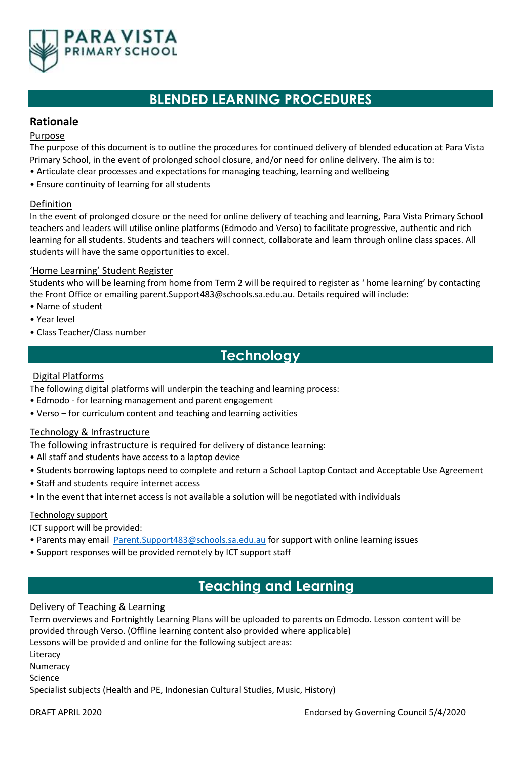

# **BLENDED LEARNING PROCEDURES**

## **Rationale**

#### Purpose

The purpose of this document is to outline the procedures for continued delivery of blended education at Para Vista Primary School, in the event of prolonged school closure, and/or need for online delivery. The aim is to: • Articulate clear processes and expectations for managing teaching, learning and wellbeing

• Ensure continuity of learning for all students

### Definition

In the event of prolonged closure or the need for online delivery of teaching and learning, Para Vista Primary School teachers and leaders will utilise online platforms (Edmodo and Verso) to facilitate progressive, authentic and rich learning for all students. Students and teachers will connect, collaborate and learn through online class spaces. All students will have the same opportunities to excel.

### 'Home Learning' Student Register

Students who will be learning from home from Term 2 will be required to register as ' home learning' by contacting the Front Office or emailing parent.Support483@schools.sa.edu.au. Details required will include:

- Name of student
- Year level
- Class Teacher/Class number

# **Technology**

### Digital Platforms

The following digital platforms will underpin the teaching and learning process:

- Edmodo for learning management and parent engagement
- Verso for curriculum content and teaching and learning activities

### Technology & Infrastructure

The following infrastructure is required for delivery of distance learning:

- All staff and students have access to a laptop device
- Students borrowing laptops need to complete and return a School Laptop Contact and Acceptable Use Agreement
- Staff and students require internet access
- In the event that internet access is not available a solution will be negotiated with individuals

#### Technology support

ICT support will be provided:

- Parents may email [Parent.Support483@schools.sa.edu.au](mailto:Parent.Support483@schools.sa.edu.au) for support with online learning issues
- Support responses will be provided remotely by ICT support staff

# **Teaching and Learning**

#### Delivery of Teaching & Learning

Term overviews and Fortnightly Learning Plans will be uploaded to parents on Edmodo. Lesson content will be provided through Verso. (Offline learning content also provided where applicable) Lessons will be provided and online for the following subject areas: Literacy Numeracy Science Specialist subjects (Health and PE, Indonesian Cultural Studies, Music, History)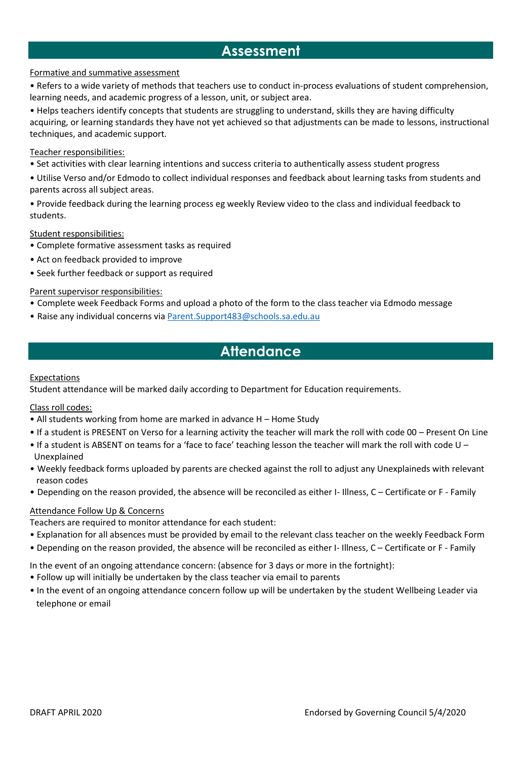# **Assessment**

### Formative and summative assessment

• Refers to a wide variety of methods that teachers use to conduct in-process evaluations of student comprehension, learning needs, and academic progress of a lesson, unit, or subject area.

• Helps teachers identify concepts that students are struggling to understand, skills they are having difficulty acquiring, or learning standards they have not yet achieved so that adjustments can be made to lessons, instructional techniques, and academic support.

#### Teacher responsibilities:

- Set activities with clear learning intentions and success criteria to authentically assess student progress
- Utilise Verso and/or Edmodo to collect individual responses and feedback about learning tasks from students and parents across all subject areas.
- Provide feedback during the learning process eg weekly Review video to the class and individual feedback to students.

Student responsibilities:

- Complete formative assessment tasks as required
- Act on feedback provided to improve
- Seek further feedback or support as required

### Parent supervisor responsibilities:

- Complete week Feedback Forms and upload a photo of the form to the class teacher via Edmodo message
- Raise any individual concerns via [Parent.Support483@schools.sa.edu.au](mailto:Parent.Support483@schools.sa.edu.au)

# **Attendance**

#### Expectations

Student attendance will be marked daily according to Department for Education requirements.

Class roll codes:

- All students working from home are marked in advance H Home Study
- If a student is PRESENT on Verso for a learning activity the teacher will mark the roll with code 00 Present On Line
- If a student is ABSENT on teams for a 'face to face' teaching lesson the teacher will mark the roll with code U Unexplained
- Weekly feedback forms uploaded by parents are checked against the roll to adjust any Unexplaineds with relevant reason codes
- Depending on the reason provided, the absence will be reconciled as either I- Illness, C Certificate or F Family

#### Attendance Follow Up & Concerns

Teachers are required to monitor attendance for each student:

- Explanation for all absences must be provided by email to the relevant class teacher on the weekly Feedback Form
- Depending on the reason provided, the absence will be reconciled as either I- Illness, C Certificate or F Family

In the event of an ongoing attendance concern: (absence for 3 days or more in the fortnight):

- Follow up will initially be undertaken by the class teacher via email to parents
- In the event of an ongoing attendance concern follow up will be undertaken by the student Wellbeing Leader via telephone or email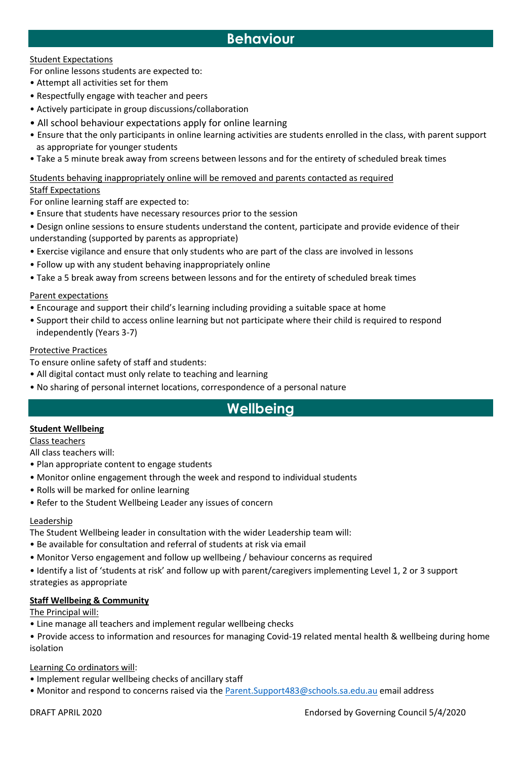# **Behaviour**

### Student Expectations

For online lessons students are expected to:

- Attempt all activities set for them
- Respectfully engage with teacher and peers
- Actively participate in group discussions/collaboration
- All school behaviour expectations apply for online learning
- Ensure that the only participants in online learning activities are students enrolled in the class, with parent support as appropriate for younger students
- Take a 5 minute break away from screens between lessons and for the entirety of scheduled break times

#### Students behaving inappropriately online will be removed and parents contacted as required

#### Staff Expectations

For online learning staff are expected to:

- Ensure that students have necessary resources prior to the session
- Design online sessions to ensure students understand the content, participate and provide evidence of their understanding (supported by parents as appropriate)
- Exercise vigilance and ensure that only students who are part of the class are involved in lessons
- Follow up with any student behaving inappropriately online
- Take a 5 break away from screens between lessons and for the entirety of scheduled break times

### Parent expectations

- Encourage and support their child's learning including providing a suitable space at home
- Support their child to access online learning but not participate where their child is required to respond independently (Years 3-7)

#### Protective Practices

- To ensure online safety of staff and students:
- All digital contact must only relate to teaching and learning
- No sharing of personal internet locations, correspondence of a personal nature

# **Wellbeing**

### **Student Wellbeing**

Class teachers

All class teachers will:

- Plan appropriate content to engage students
- Monitor online engagement through the week and respond to individual students
- Rolls will be marked for online learning
- Refer to the Student Wellbeing Leader any issues of concern

#### Leadership

The Student Wellbeing leader in consultation with the wider Leadership team will:

- Be available for consultation and referral of students at risk via email
- Monitor Verso engagement and follow up wellbeing / behaviour concerns as required

• Identify a list of 'students at risk' and follow up with parent/caregivers implementing Level 1, 2 or 3 support strategies as appropriate

#### **Staff Wellbeing & Community**

The Principal will:

- Line manage all teachers and implement regular wellbeing checks
- Provide access to information and resources for managing Covid-19 related mental health & wellbeing during home isolation

### Learning Co ordinators will:

- Implement regular wellbeing checks of ancillary staff
- Monitor and respond to concerns raised via the [Parent.Support483@schools.sa.edu.au](mailto:Parent.Support483@schools.sa.edu.au) email address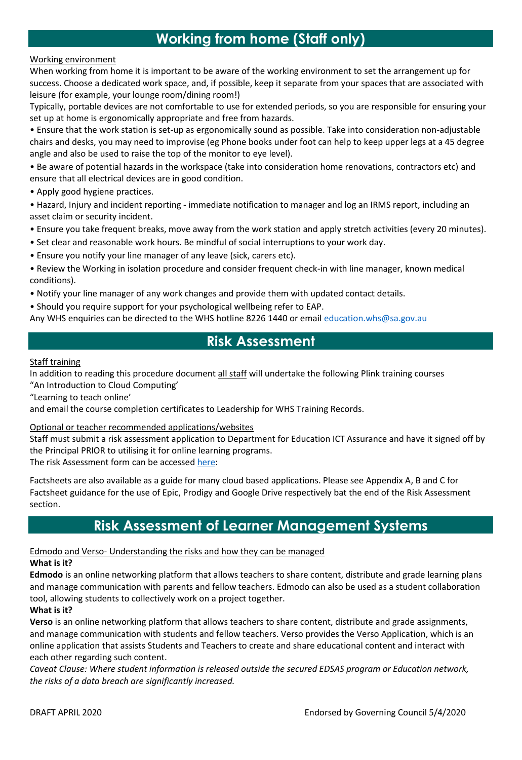# **Working from home (Staff only)**

#### Working environment

When working from home it is important to be aware of the working environment to set the arrangement up for success. Choose a dedicated work space, and, if possible, keep it separate from your spaces that are associated with leisure (for example, your lounge room/dining room!)

Typically, portable devices are not comfortable to use for extended periods, so you are responsible for ensuring your set up at home is ergonomically appropriate and free from hazards.

• Ensure that the work station is set-up as ergonomically sound as possible. Take into consideration non-adjustable chairs and desks, you may need to improvise (eg Phone books under foot can help to keep upper legs at a 45 degree angle and also be used to raise the top of the monitor to eye level).

• Be aware of potential hazards in the workspace (take into consideration home renovations, contractors etc) and ensure that all electrical devices are in good condition.

- Apply good hygiene practices.
- Hazard, Injury and incident reporting immediate notification to manager and log an IRMS report, including an asset claim or security incident.
- Ensure you take frequent breaks, move away from the work station and apply stretch activities (every 20 minutes).
- Set clear and reasonable work hours. Be mindful of social interruptions to your work day.
- Ensure you notify your line manager of any leave (sick, carers etc).

• Review the Working in isolation procedure and consider frequent check-in with line manager, known medical conditions).

• Notify your line manager of any work changes and provide them with updated contact details.

• Should you require support for your psychological wellbeing refer to EAP.

Any WHS enquiries can be directed to the WHS hotline 8226 1440 or email [education.whs@sa.gov.au](mailto:education.whs@sa.gov.au)

# **Risk Assessment**

#### Staff training

In addition to reading this procedure document all staff will undertake the following Plink training courses "An Introduction to Cloud Computing'

"Learning to teach online'

and email the course completion certificates to Leadership for WHS Training Records.

#### Optional or teacher recommended applications/websites

Staff must submit a risk assessment application to Department for Education ICT Assurance and have it signed off by the Principal PRIOR to utilising it for online learning programs.

The risk Assessment form can be accessed [here:](https://forms.office.com/Pages/ResponsePage.aspx?id=6fS7c4gGRkmuqb0LtA7PB26RYlEaccdCsfeKJAi-vQdUNDhONDNIN1hLTzJGMFdBS0o5TE9aN0FQSCQlQCN0PWcu)

Factsheets are also available as a guide for many cloud based applications. Please see Appendix A, B and C for Factsheet guidance for the use of Epic, Prodigy and Google Drive respectively bat the end of the Risk Assessment section.

# **Risk Assessment of Learner Management Systems**

#### Edmodo and Verso- Understanding the risks and how they can be managed

#### **What is it?**

**Edmodo** is an online networking platform that allows teachers to share content, distribute and grade learning plans and manage communication with parents and fellow teachers. Edmodo can also be used as a student collaboration tool, allowing students to collectively work on a project together.

#### **What is it?**

**Verso** is an online networking platform that allows teachers to share content, distribute and grade assignments, and manage communication with students and fellow teachers. Verso provides the Verso Application, which is an online application that assists Students and Teachers to create and share educational content and interact with each other regarding such content.

*Caveat Clause: Where student information is released outside the secured EDSAS program or Education network, the risks of a data breach are significantly increased.*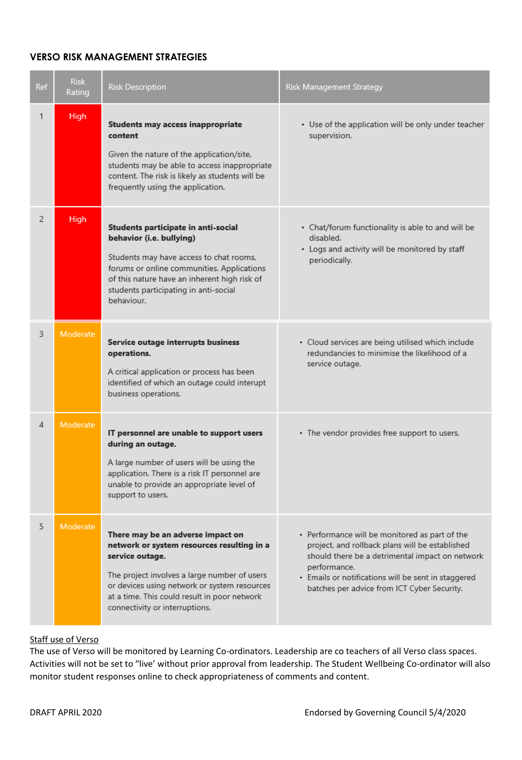### **VERSO RISK MANAGEMENT STRATEGIES**

| Ref | <b>Risk</b><br>Rating | <b>Risk Description</b>                                                                                                                                                                                                                                                              | Risk Management Strategy                                                                                                                                                                                                                                                   |
|-----|-----------------------|--------------------------------------------------------------------------------------------------------------------------------------------------------------------------------------------------------------------------------------------------------------------------------------|----------------------------------------------------------------------------------------------------------------------------------------------------------------------------------------------------------------------------------------------------------------------------|
| 1   | High                  | <b>Students may access inappropriate</b><br>content<br>Given the nature of the application/site,<br>students may be able to access inappropriate<br>content. The risk is likely as students will be<br>frequently using the application.                                             | • Use of the application will be only under teacher<br>supervision.                                                                                                                                                                                                        |
| 2   | <b>High</b>           | Students participate in anti-social<br>behavior (i.e. bullying)<br>Students may have access to chat rooms,<br>forums or online communities. Applications<br>of this nature have an inherent high risk of<br>students participating in anti-social<br>behaviour.                      | • Chat/forum functionality is able to and will be<br>disabled.<br>• Logs and activity will be monitored by staff<br>periodically.                                                                                                                                          |
| 3   | Moderate              | Service outage interrupts business<br>operations.<br>A critical application or process has been<br>identified of which an outage could interupt<br>business operations.                                                                                                              | · Cloud services are being utilised which include<br>redundancies to minimise the likelihood of a<br>service outage.                                                                                                                                                       |
| 4   | Moderate              | IT personnel are unable to support users<br>during an outage.<br>A large number of users will be using the<br>application. There is a risk IT personnel are<br>unable to provide an appropriate level of<br>support to users.                                                        | • The vendor provides free support to users.                                                                                                                                                                                                                               |
| 5   | Moderate              | There may be an adverse impact on<br>network or system resources resulting in a<br>service outage.<br>The project involves a large number of users<br>or devices using network or system resources<br>at a time. This could result in poor network<br>connectivity or interruptions. | • Performance will be monitored as part of the<br>project, and rollback plans will be established<br>should there be a detrimental impact on network<br>performance.<br>· Emails or notifications will be sent in staggered<br>batches per advice from ICT Cyber Security. |

#### Staff use of Verso

The use of Verso will be monitored by Learning Co-ordinators. Leadership are co teachers of all Verso class spaces. Activities will not be set to "live' without prior approval from leadership. The Student Wellbeing Co-ordinator will also monitor student responses online to check appropriateness of comments and content.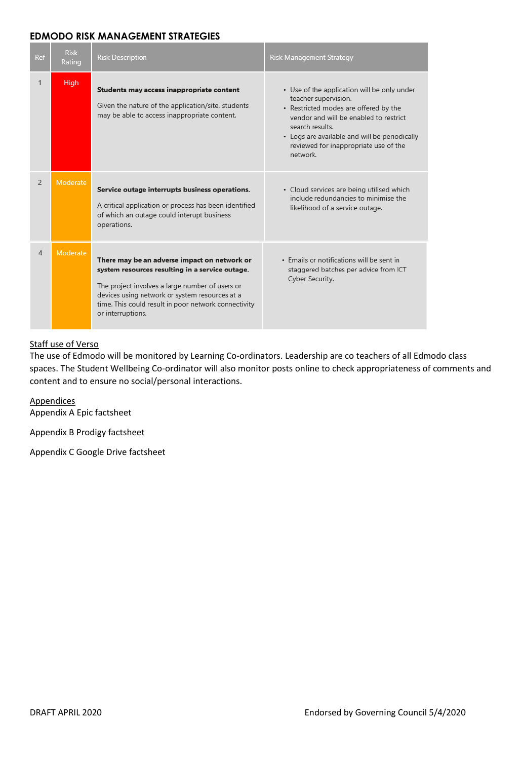### **EDMODO RISK MANAGEMENT STRATEGIES**

| Ref            | <b>Risk</b><br>Rating | <b>Risk Description</b>                                                                                                                                                                                                                                                           | Risk Management Strategy                                                                                                                                                                                                                                                        |
|----------------|-----------------------|-----------------------------------------------------------------------------------------------------------------------------------------------------------------------------------------------------------------------------------------------------------------------------------|---------------------------------------------------------------------------------------------------------------------------------------------------------------------------------------------------------------------------------------------------------------------------------|
| 1              | <b>High</b>           | Students may access inappropriate content<br>Given the nature of the application/site, students<br>may be able to access inappropriate content.                                                                                                                                   | • Use of the application will be only under<br>teacher supervision.<br>• Restricted modes are offered by the<br>vendor and will be enabled to restrict<br>search results.<br>• Logs are available and will be periodically<br>reviewed for inappropriate use of the<br>network. |
| $\overline{2}$ | Moderate              | Service outage interrupts business operations.<br>A critical application or process has been identified<br>of which an outage could interupt business<br>operations.                                                                                                              | · Cloud services are being utilised which<br>include redundancies to minimise the<br>likelihood of a service outage.                                                                                                                                                            |
| $\overline{4}$ | Moderate              | There may be an adverse impact on network or<br>system resources resulting in a service outage.<br>The project involves a large number of users or<br>devices using network or system resources at a<br>time. This could result in poor network connectivity<br>or interruptions. | . Emails or notifications will be sent in<br>staggered batches per advice from ICT<br>Cyber Security.                                                                                                                                                                           |

### Staff use of Verso

The use of Edmodo will be monitored by Learning Co-ordinators. Leadership are co teachers of all Edmodo class spaces. The Student Wellbeing Co-ordinator will also monitor posts online to check appropriateness of comments and content and to ensure no social/personal interactions.

**Appendices** Appendix A Epic factsheet

Appendix B Prodigy factsheet

Appendix C Google Drive factsheet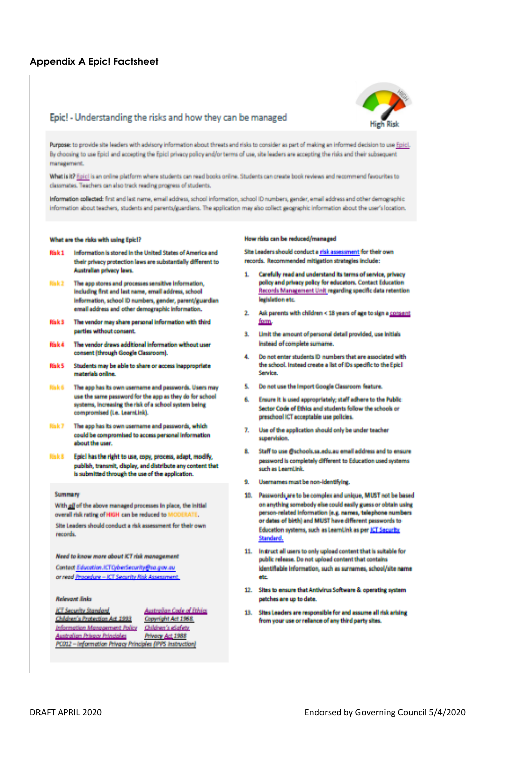## **Appendix A Epic! Factsheet**

#### Epic! - Understanding the risks and how they can be managed



Purpose: to provide site leaders with advisory information about threats and risks to consider as part of making an informed decision to use Epici, By choosing to use Epici and accepting the Epici privacy policy and/or terms of use, site leaders are accepting the risks and their subsequent management.

What is it? Epic! is an online platform where students can read books online. Students can create book reviews and recommend favourites to classmates. Teachers can also track reading progress of students.

Information collected: first and last name, email address, school information, school ID numbers, gender, email address and other demographic information about teachers, students and parents/guardians. The application may also collect geographic information about the user's location.

#### What are the risks with using Epici?

- Information is stored in the United States of America and Risk 1 their privacy protection laws are substantially different to Australian privacy laws.
- The app stores and processes sensitive information, Risk 2 Including first and last name, email address, school Information, school ID numbers, gender, parent/guardian email address and other demographic information.
- The vendor may share personal information with third **Risk S** parties without consent.
- **Risk 4** The vendor draws additional information without user consent (through Google Classroom).
- Risk 5 Students may be able to share or access inappropriate materials online.
- Risk 6 The app has its own usemame and passwords. Users may use the same password for the app as they do for school systems, increasing the risk of a school system being compromised (i.e. LearnLink).
- Risk 7 The app has its own usemame and passwords, which could be compromised to access personal information about the user.
- **Risk &** Epici has the right to use, copy, process, adapt, modify, publish, transmit, display, and distribute any content that is submitted through the use of the application.

#### **Summary**

With all of the above managed processes in place, the initial overall risk rating of HIGH can be reduced to b

Site Leaders should conduct a risk assessment for their own records.

Need to know more about ICT risk management

Contact Education.ICTCyberSecurity@sa.gov.au or read Procedure - ICT Security Risk Assessment

#### **Relevant links**

**ICT Security Standard Australian Code of Ethics** Children's Protection Act 1993 Information Management Policy Children's eSafety **Australian Privacy Principles** PC012 - Information Privacy Principles (IPPS Instruction)

Copyright Act 1968. Privacy Act 1988

#### How risks can be reduced/managed

Site Leaders should conduct a risk assessment for their own records. Recommended mitigation strategies include:

- Carefully read and understand its terms of service, orivacy я. policy and privacy policy for educators. Contact Education Records Management Unit regarding specific data retention legislation etc.
- 2. Ask parents with children < 18 years of age to sign a consent form.
- 3. Limit the amount of personal detail provided, use initials instead of complete surname.
- 4. Do not enter students ID numbers that are associated with the school. Instead create a list of IDs specific to the Epici Service.
- 5. Do not use the Import Google Classroom feature.
- 6. Ensure it is used appropriately; staff adhere to the Public Sector Code of Ethics and students follow the schools or preschool ICT acceptable use policies.
- 7. Use of the application should only be under teacher supervision.
- 8. Staff to use @schools.sa.edu.au email address and to ensure password is completely different to Education used systems such as LearnLink.
- 9. Usernames must be non-identifying
- 10. Passwords are to be complex and unique, MUST not be based on anything somebody else could easily guess or obtain using person-related information (e.g. names, telephone numbers or dates of birth) and MUST have different passwords to Education systems, such as LearnLink as per ICT Security **Standard**
- 11. Instruct all users to only upload content that is suitable for public release. Do not upload content that contains identifiable information, such as surnames, school/site name etc
- 12. Sites to ensure that Antivirus Software & operating system patches are up to date.
- 13. Sites Leaders are responsible for and assume all risk arising from your use or reliance of any third party sites.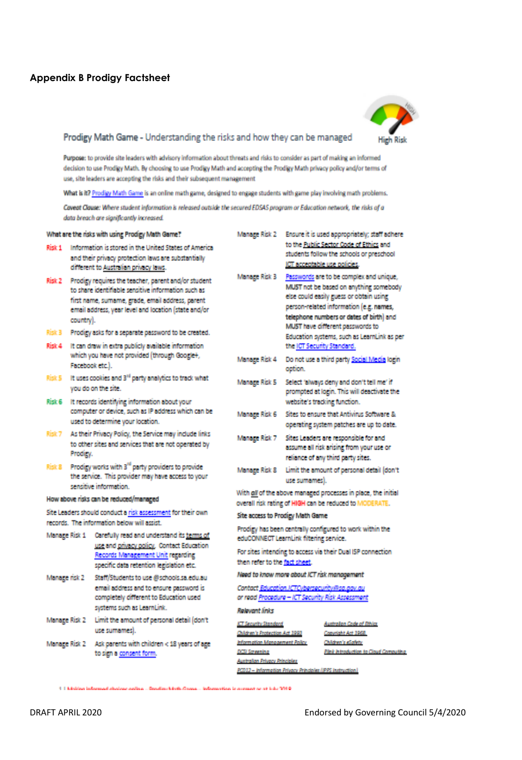## **Appendix B Prodigy Factsheet**



#### Prodigy Math Game - Understanding the risks and how they can be managed

Purpose: to provide site leaders with advisory information about threats and risks to consider as part of making an informed decision to use Prodigy Math. By choosing to use Prodigy Math and accepting the Prodigy Math privacy policy and/or terms of use, site leaders are accepting the risks and their subsequent management

What is it? Prodigy Math Game is an online math game, designed to engage students with game play involving math problems.

Caveat Clause: Where student information is released outside the secured EDSAS program or Education network, the risks of a data breach are significantly increased.

|               | What are the risks with using Prodigy Math Game?                                                                                                                                                                                                                                                  | Manage Risk 2                                                                                                            | Ensure it is used appropriately; staff adhere                                                                                                                                                                                                           |  |
|---------------|---------------------------------------------------------------------------------------------------------------------------------------------------------------------------------------------------------------------------------------------------------------------------------------------------|--------------------------------------------------------------------------------------------------------------------------|---------------------------------------------------------------------------------------------------------------------------------------------------------------------------------------------------------------------------------------------------------|--|
| Risk 1        | Information is stored in the United States of America<br>and their privacy protection laws are substantially<br>different to Australian privacy laws.                                                                                                                                             |                                                                                                                          | to the Public Sector Code of Ethics and<br>students follow the schools or preschool<br>ICT acceptable use policies.                                                                                                                                     |  |
| Risk 3        | Risk 2 Prodigy requires the teacher, parent and/or student<br>to share identifiable sensitive information such as<br>first name, sumame, grade, email address, parent<br>email address, year level and location (state and/or<br>country).<br>Prodigy asks for a separate password to be created. | Manage Risk 3                                                                                                            | Passwords are to be complex and unique,<br>MUST not be based on anything somebody<br>else could easily guess or obtain using<br>person-related information (e.g. names,<br>telephone numbers or dates of birth) and<br>MUST have different passwords to |  |
| Risk 4        | It can draw in extra publicly available information<br>which you have not provided (through Google+,                                                                                                                                                                                              |                                                                                                                          | Education systems, such as LearnLink as per<br>the ICT Security Standard.                                                                                                                                                                               |  |
|               | Facebook etc.).                                                                                                                                                                                                                                                                                   | Manage Risk 4                                                                                                            | Do not use a third party Social Media login<br>option.                                                                                                                                                                                                  |  |
|               | Risk 5 It uses cookies and 3 <sup>rd</sup> party analytics to track what<br>you do on the site.<br>Risk 6 It records identifying information about your                                                                                                                                           | Manage Risk 5                                                                                                            | Select 'always deny and don't tell me' if<br>prompted at login. This will deactivate the<br>website's tracking function.                                                                                                                                |  |
|               | computer or device, such as IP address which can be<br>used to determine your location.                                                                                                                                                                                                           | Manage Risk 6                                                                                                            | Sites to ensure that Antivirus Software &<br>operating system patches are up to date.                                                                                                                                                                   |  |
| Risk 7        | As their Privacy Policy, the Service may include links<br>to other sites and services that are not operated by<br>Prodicy.                                                                                                                                                                        | Manage Risk 7                                                                                                            | Sites Leaders are responsible for and<br>assume all risk arising from your use or<br>reliance of any third party sites.                                                                                                                                 |  |
|               | Risk 8 Prodigy works with 3 <sup>rd</sup> party providers to provide<br>the service. This provider may have access to your<br>sensitive information.                                                                                                                                              | Manage Risk 8                                                                                                            | Limit the amount of personal detail (don't<br>use sumames).                                                                                                                                                                                             |  |
|               | How above risks can be reduced/managed                                                                                                                                                                                                                                                            | With all of the above managed processes in place, the initial<br>overall risk rating of HIGH can be reduced to MODERATE. |                                                                                                                                                                                                                                                         |  |
|               | Site Leaders should conduct a risk assessment for their own                                                                                                                                                                                                                                       | Site access to Prodigy Math Game                                                                                         |                                                                                                                                                                                                                                                         |  |
|               | records. The information below will assist                                                                                                                                                                                                                                                        | Prodigy has been centrally configured to work within the                                                                 |                                                                                                                                                                                                                                                         |  |
| Manage Risk 1 | Carefully read and understand its terms of<br>use and privacy policy. Contact Education                                                                                                                                                                                                           | eduCONNECT LearnLink filtering service.                                                                                  |                                                                                                                                                                                                                                                         |  |
|               | Records Management Unit regarding<br>specific data retention legislation etc.                                                                                                                                                                                                                     | then refer to the fact sheet.                                                                                            | For sites intending to access via their Dual ISP connection                                                                                                                                                                                             |  |
| Manage risk 2 | Staff/Students to use @schools.sa.edu.au                                                                                                                                                                                                                                                          |                                                                                                                          | Need to know more about ICT risk management                                                                                                                                                                                                             |  |
|               | email address and to ensure password is<br>completely different to Education used                                                                                                                                                                                                                 |                                                                                                                          | Contact Education ICTC (bersecurity@sa.gov.gu<br>or read Procedure - ICT Security Risk Assessment                                                                                                                                                       |  |
|               | systems such as LearnLink.                                                                                                                                                                                                                                                                        | <b>Relevant links</b>                                                                                                    |                                                                                                                                                                                                                                                         |  |
| Manage Risk 2 | Limit the amount of personal detail (don't<br>use sumames).                                                                                                                                                                                                                                       | <b>ET Security Standard</b><br>Children's Protection Act 1993                                                            | Australian Code of Sthics<br>Convright Act 2968                                                                                                                                                                                                         |  |
| Manage Risk 2 | Ask parents with children < 18 years of age<br>to sign a consent form.                                                                                                                                                                                                                            | Information Management Policy<br>DCSI Serventos<br>Australian Privacy Principles                                         | Children's eSofety<br>Pilek Introduction to Cloud Computing                                                                                                                                                                                             |  |
|               |                                                                                                                                                                                                                                                                                                   |                                                                                                                          | PCD12 - Information Privacy Principles (IPPS instruction)                                                                                                                                                                                               |  |

1 1 Közlőben informunai alkológus szellege ... Szendlegek öztü. Kingega ... informunitete is a remanisser et inder 189 @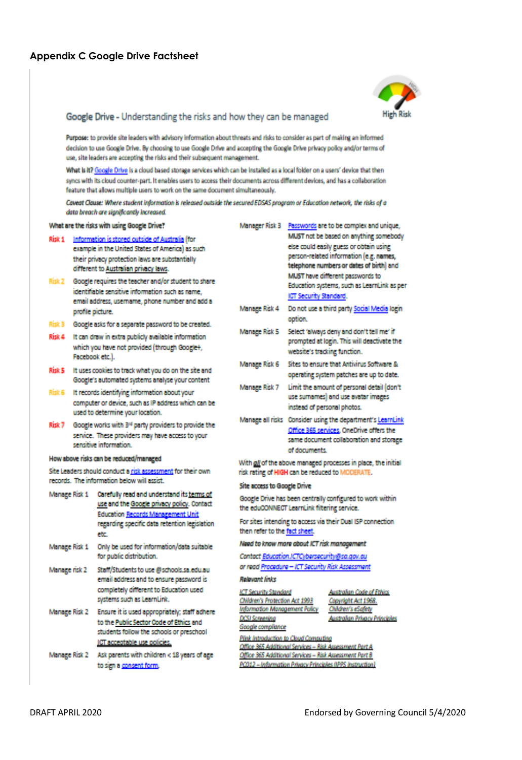

#### Google Drive - Understanding the risks and how they can be managed

Purpose: to provide site leaders with advisory information about threats and risks to consider as part of making an informed decision to use Google Drive. By choosing to use Google Drive and accepting the Google Drive privacy policy and/or terms of use, site leaders are accepting the risks and their subsequent management.

What is it? Google Drive is a cloud based storage services which can be installed as a local folder on a users' device that then syncs with its cloud counter-part. It enables users to access their documents across different devices, and has a collaboration feature that allows multiple users to work on the same document simultaneously.

Caveat Clause: Where student information is released outside the secured EDSAS program or Education network, the risks of a data breach are significantly increased.

|                                                                                                                                                      | What are the risks with using Google Drive?                                                                                                                                                                                                                   |                                                                                                                                               | Manager Risk 3 Passwords are to be complex and unique,                                                                                                                                                                                                      |
|------------------------------------------------------------------------------------------------------------------------------------------------------|---------------------------------------------------------------------------------------------------------------------------------------------------------------------------------------------------------------------------------------------------------------|-----------------------------------------------------------------------------------------------------------------------------------------------|-------------------------------------------------------------------------------------------------------------------------------------------------------------------------------------------------------------------------------------------------------------|
| Risk 1                                                                                                                                               | Information is stored outside of Australia (for<br>example in the United States of America) as such<br>their privacy protection laws are substantially<br>different to Australian privacy laws.<br>Risk 2 Google requires the teacher and/or student to share |                                                                                                                                               | MUST not be based on anything somebody<br>else could easily guess or obtain using<br>person-related information (e.g. names,<br>telephone numbers or dates of birth) and<br>MUST have different passwords to<br>Education systems, such as LearnLink as per |
|                                                                                                                                                      | identifiable sensitive information such as name.<br>email address, username, phone number and add a<br>profile picture.                                                                                                                                       | Manage Risk 4                                                                                                                                 | ICT Security Standard.<br>Do not use a third party Social Media login<br>option.                                                                                                                                                                            |
| Risk 3<br>Risk 4                                                                                                                                     | Google asks for a separate password to be created.<br>It can draw in extra publicly available information<br>which you have not provided (through Google+,                                                                                                    | Manage Risk 5                                                                                                                                 | Select 'always deny and don't tell me' if<br>prompted at login. This will deactivate the                                                                                                                                                                    |
|                                                                                                                                                      | Facebook etc.).<br>Risk 5 It uses cookies to track what you do on the site and                                                                                                                                                                                | Manage Risk 6                                                                                                                                 | website's tracking function.<br>Sites to ensure that Antivirus Software &<br>operating system patches are up to date.                                                                                                                                       |
| Risk 6                                                                                                                                               | Google's automated systems analyse your content<br>It records identifying information about your<br>computer or device, such as IP address which can be                                                                                                       | Manage Risk 7                                                                                                                                 | Limit the amount of personal detail (don't<br>use sumames) and use avatar images<br>instead of personal photos.                                                                                                                                             |
| Risk 7                                                                                                                                               | used to determine your location.<br>Google works with 3 <sup>rd</sup> party providers to provide the<br>service. These providers may have access to your<br>sensitive information.                                                                            |                                                                                                                                               | Manage all risks Consider using the department's LearnLink<br>Office 365 services. OneDrive offers the<br>same document collaboration and storage                                                                                                           |
| How above risks can be reduced/managed<br>Site Leaders should conduct a risk assessment for their own<br>records. The information below will assist. |                                                                                                                                                                                                                                                               | of documents.<br>With gif of the above managed processes in place, the initial<br>risk rating of HIGH can be reduced to MODERATE.             |                                                                                                                                                                                                                                                             |
| Manage Risk 1                                                                                                                                        | Carefully read and understand its terms of<br>use and the Google privacy policy. Contact<br><b>Education Records Management Unit</b><br>regarding specific data retention legislation<br>etc.                                                                 | Site access to Google Drive<br>then refer to the fact sheet.                                                                                  | Google Drive has been centrally configured to work within<br>the eduCONNECT LearnLink filtering service.<br>For sites intending to access via their Dual ISP connection                                                                                     |
| Manage Risk 1                                                                                                                                        | Only be used for information/data suitable<br>for public distribution.                                                                                                                                                                                        |                                                                                                                                               | Need to know more about ICT risk management<br>Contact Education ICTCybersecurity@sa.gov.au                                                                                                                                                                 |
| Manage risk 2                                                                                                                                        | Staff/Students to use @schools.sa.edu.au<br>email address and to ensure password is<br>completely different to Education used                                                                                                                                 | <b>Rolevant links</b>                                                                                                                         | or read Procedure - ICT Security Risk Assessment                                                                                                                                                                                                            |
| Manage Risk 2                                                                                                                                        | systems such as LearnLink.<br>Ensure it is used appropriately; staff adhere<br>to the Public Sector Code of Ethics and<br>students follow the schools or preschool                                                                                            | <b>ICT Security Standard</b><br>Children's Protection Act 1993<br>Information Management Policy<br><b>DCSI Screening</b><br>Google compilance | Australian Code of Ethics<br>Convright Act 1968.<br>Children's eSafety<br>Australian Privacy Principles<br>Pilnk Introduction to Cloud Computing                                                                                                            |
| Manage Risk 2                                                                                                                                        | ICT acceptable use policies.<br>Ask parents with children < 18 years of age<br>to sign a consent form.                                                                                                                                                        |                                                                                                                                               | Office 365 Additional Services - Risk Assessment Part A.<br>Office 365 Additional Services - Risk Assessment Part B<br>PC012 - Information Privacy Principles (IPPS Instruction)                                                                            |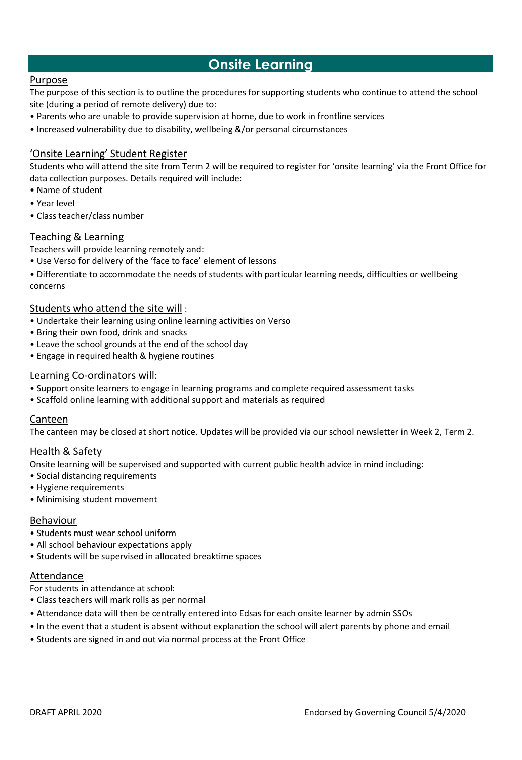# **Onsite Learning**

### Purpose

The purpose of this section is to outline the procedures for supporting students who continue to attend the school site (during a period of remote delivery) due to:

- Parents who are unable to provide supervision at home, due to work in frontline services
- Increased vulnerability due to disability, wellbeing &/or personal circumstances

### 'Onsite Learning' Student Register

Students who will attend the site from Term 2 will be required to register for 'onsite learning' via the Front Office for data collection purposes. Details required will include:

- Name of student
- Year level
- Class teacher/class number

### Teaching & Learning

Teachers will provide learning remotely and:

- Use Verso for delivery of the 'face to face' element of lessons
- Differentiate to accommodate the needs of students with particular learning needs, difficulties or wellbeing concerns

#### Students who attend the site will :

- Undertake their learning using online learning activities on Verso
- Bring their own food, drink and snacks
- Leave the school grounds at the end of the school day
- Engage in required health & hygiene routines

### Learning Co-ordinators will:

- Support onsite learners to engage in learning programs and complete required assessment tasks
- Scaffold online learning with additional support and materials as required

#### Canteen

The canteen may be closed at short notice. Updates will be provided via our school newsletter in Week 2, Term 2.

#### Health & Safety

Onsite learning will be supervised and supported with current public health advice in mind including:

- Social distancing requirements
- Hygiene requirements
- Minimising student movement

#### Behaviour

- Students must wear school uniform
- All school behaviour expectations apply
- Students will be supervised in allocated breaktime spaces

#### Attendance

For students in attendance at school:

- Class teachers will mark rolls as per normal
- Attendance data will then be centrally entered into Edsas for each onsite learner by admin SSOs
- In the event that a student is absent without explanation the school will alert parents by phone and email
- Students are signed in and out via normal process at the Front Office